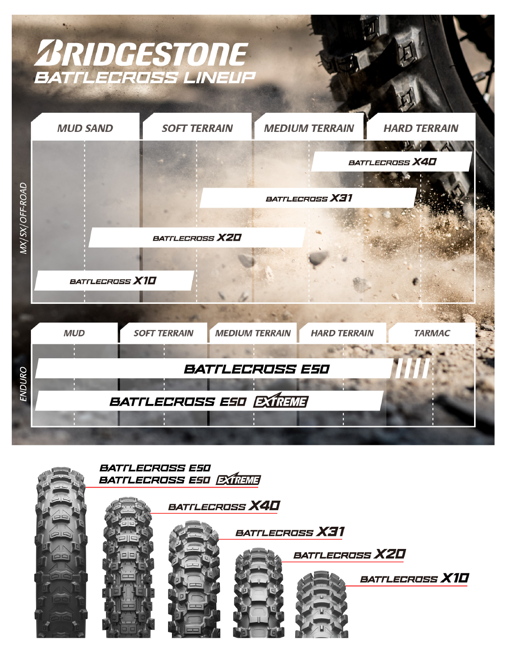